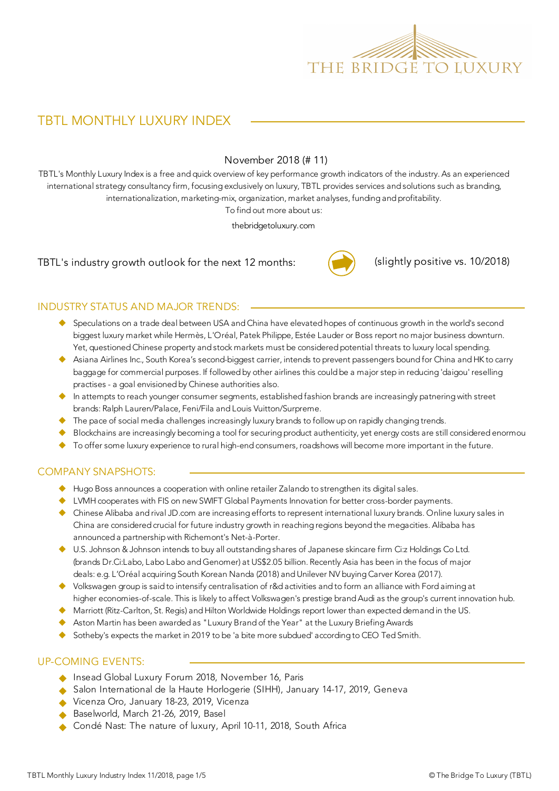

# TBTL MONTHLY LUXURY INDEX

#### November 2018 (# 11)

TBTL's Monthly Luxury Index is a free and quick overview of key performance growth indicators of the industry. As an experienced international strategy consultancy firm, focusing exclusively on luxury, TBTL provides services and solutions such as branding, internationalization, marketing-mix, organization, market analyses, funding and profitability.

To find out more about us:

thebridgetoluxury.com

TBTL's industry growth outlook for the next 12 months:



(slightly positive vs. 10/2018)

#### INDUSTRY STATUS AND MAJOR TRENDS:

- ◆ Speculations on a trade deal between USA and China have elevated hopes of continuous growth in the world's second biggest luxury market while Hermès, L'Oréal, Patek Philippe, Estée Lauder or Boss report no major business downturn. Yet, questioned Chinese property and stock markets must be considered potential threats to luxury local spending.
- ◆ Asiana Airlines Inc., South Korea's second-biggest carrier, intends to prevent passengers bound for China and HK to carry baggage for commercial purposes. If followed by other airlines this could be a major step in reducing 'daigou' reselling practises - a goal envisioned by Chinese authorities also.
- $\blacklozenge$  In attempts to reach younger consumer segments, established fashion brands are increasingly patnering with street brands: Ralph Lauren/Palace, Feni/Fila and Louis Vuitton/Surpreme.
- $\blacklozenge$  The pace of social media challenges increasingly luxury brands to follow up on rapidly changing trends.
- Blockchains are increasingly becoming a tool for securing product authenticity, yet energy costs are still considered enormou
- ◆ To offer some luxury experience to rural high-end consumers, roadshows will become more important in the future.

#### COMPANY SNAPSHOTS:

- $\blacklozenge$  Hugo Boss announces a cooperation with online retailer Zalando to strengthen its digital sales.
- ◆ LVMH cooperates with FIS on new SWIFT Global Payments Innovation for better cross-border payments.
- u Chinese Alibaba and rival JD.com are increasing efforts to represent international luxury brands. Online luxury sales in China are considered crucial for future industry growth in reaching regions beyond the megacities. Alibaba has announced a partnership with Richemont's Net-à-Porter.
- u U.S. Johnson & Johnson intends to buy all outstanding shares of Japanese skincare firm Ci:z Holdings Co Ltd. (brands Dr.Ci:Labo, Labo Labo and Genomer) at US\$2.05 billion. Recently Asia has been in the focus of major deals: e.g. L'Oréal acquiring South Korean Nanda (2018) and Unilever NV buying Carver Korea (2017).
- u Volkswagen group is said to intensify centralisation of r&d activities and to form an alliance with Ford aiming at higher economies-of-scale. This is likely to affect Volkswagen's prestige brand Audi as the group's current innovation hub.
- ◆ Marriott (Ritz-Carlton, St. Regis) and Hilton Worldwide Holdings report lower than expected demand in the US.
- $\blacktriangleright$  Aston Martin has been awarded as "Luxury Brand of the Year" at the Luxury Briefing Awards
- $\blacklozenge$  Sotheby's expects the market in 2019 to be 'a bite more subdued' according to CEO Ted Smith.

#### UP-COMING EVENTS:

- Insead Global Luxury Forum 2018, November 16, Paris
- ◆ Salon International de la Haute Horlogerie (SIHH), January 14-17, 2019, Geneva
- Vicenza Oro, January 18-23, 2019, Vicenza
- Baselworld, March 21-26, 2019, Basel
- ◆ Condé Nast: The nature of luxury, April 10-11, 2018, South Africa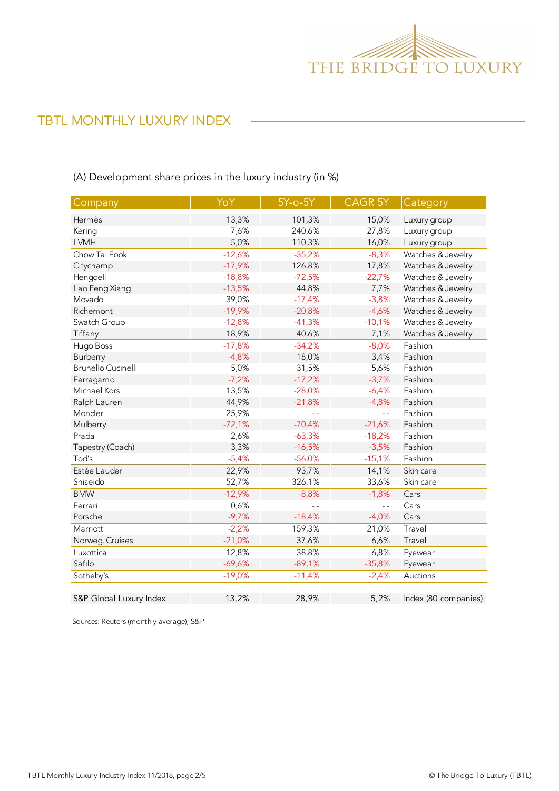

# TBTL MONTHLY LUXURY INDEX

### (A) Development share prices in the luxury industry (in %)

| Company                 | YoY      | 5Y-o-5Y  | CAGR 5Y        | Category             |
|-------------------------|----------|----------|----------------|----------------------|
| Hermès                  | 13,3%    | 101,3%   | 15,0%          | Luxury group         |
| Kering                  | 7,6%     | 240,6%   | 27,8%          | Luxury group         |
| <b>LVMH</b>             | 5,0%     | 110,3%   | 16,0%          | Luxury group         |
| Chow Tai Fook           | $-12,6%$ | $-35,2%$ | $-8,3%$        | Watches & Jewelry    |
| Citychamp               | $-17,9%$ | 126,8%   | 17,8%          | Watches & Jewelry    |
| Hengdeli                | $-18,8%$ | $-72,5%$ | $-22,7%$       | Watches & Jewelry    |
| Lao Feng Xiang          | $-13,5%$ | 44,8%    | 7,7%           | Watches & Jewelry    |
| Movado                  | 39,0%    | $-17,4%$ | $-3,8%$        | Watches & Jewelry    |
| Richemont               | $-19,9%$ | $-20,8%$ | $-4,6%$        | Watches & Jewelry    |
| Swatch Group            | $-12,8%$ | $-41,3%$ | $-10,1%$       | Watches & Jewelry    |
| Tiffany                 | 18,9%    | 40,6%    | 7,1%           | Watches & Jewelry    |
| Hugo Boss               | $-17,8%$ | $-34,2%$ | $-8,0%$        | Fashion              |
| Burberry                | $-4,8%$  | 18,0%    | 3,4%           | Fashion              |
| Brunello Cucinelli      | 5,0%     | 31,5%    | 5,6%           | Fashion              |
| Ferragamo               | $-7,2%$  | $-17,2%$ | $-3,7%$        | Fashion              |
| Michael Kors            | 13,5%    | $-28,0%$ | $-6,4%$        | Fashion              |
| Ralph Lauren            | 44,9%    | $-21,8%$ | $-4,8%$        | Fashion              |
| Moncler                 | 25,9%    |          | $\overline{a}$ | Fashion              |
| Mulberry                | $-72,1%$ | $-70,4%$ | $-21,6%$       | Fashion              |
| Prada                   | 2,6%     | $-63,3%$ | $-18,2%$       | Fashion              |
| Tapestry (Coach)        | 3,3%     | $-16,5%$ | $-3,5%$        | Fashion              |
| Tod's                   | $-5,4%$  | $-56,0%$ | $-15,1%$       | Fashion              |
| Estée Lauder            | 22,9%    | 93,7%    | 14,1%          | Skin care            |
| Shiseido                | 52,7%    | 326,1%   | 33,6%          | Skin care            |
| <b>BMW</b>              | $-12,9%$ | $-8,8%$  | $-1,8%$        | Cars                 |
| Ferrari                 | 0,6%     |          | $\overline{a}$ | Cars                 |
| Porsche                 | $-9,7%$  | $-18,4%$ | $-4,0%$        | Cars                 |
| Marriott                | $-2,2%$  | 159,3%   | 21,0%          | Travel               |
| Norweg. Cruises         | $-21,0%$ | 37,6%    | 6,6%           | Travel               |
| Luxottica               | 12,8%    | 38,8%    | 6,8%           | Eyewear              |
| Safilo                  | $-69,6%$ | $-89,1%$ | $-35,8%$       | Eyewear              |
| Sotheby's               | $-19,0%$ | $-11,4%$ | $-2,4%$        | Auctions             |
| S&P Global Luxury Index | 13,2%    | 28,9%    | 5,2%           | Index (80 companies) |

Sources: Reuters (monthly average), S&P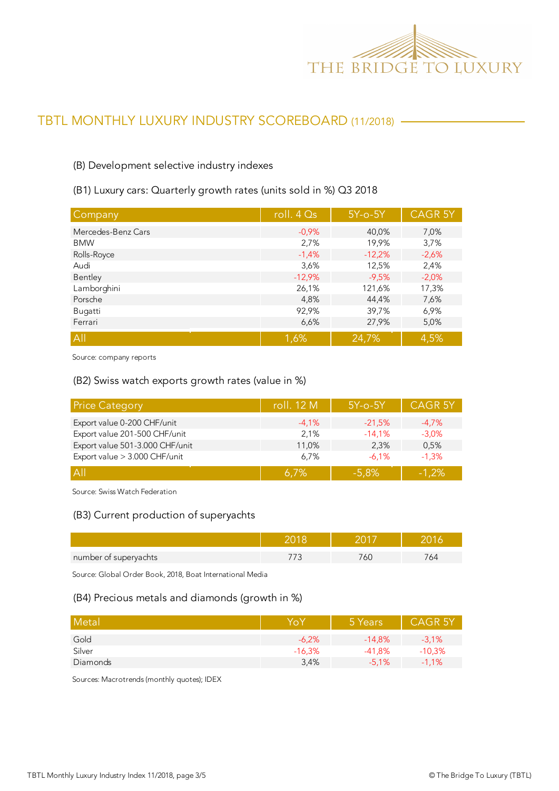

# TBTL MONTHLY LUXURY INDUSTRY SCOREBOARD (11/2018)

#### (B) Development selective industry indexes

#### (B1) Luxury cars: Quarterly growth rates (units sold in %) Q3 2018

| Company            | roll. $4Qs$ | $5Y$ -o- $5Y$ | <b>CAGR 5Y</b> |
|--------------------|-------------|---------------|----------------|
| Mercedes-Benz Cars | $-0.9%$     | 40,0%         | 7,0%           |
| <b>BMW</b>         | 2,7%        | 19,9%         | 3,7%           |
| Rolls-Royce        | $-1,4%$     | $-12,2%$      | $-2,6%$        |
| Audi               | 3,6%        | 12,5%         | 2,4%           |
| Bentley            | $-12,9%$    | $-9,5%$       | $-2,0%$        |
| Lamborghini        | 26,1%       | 121,6%        | 17,3%          |
| Porsche            | 4,8%        | 44,4%         | 7,6%           |
| Bugatti            | 92,9%       | 39,7%         | 6,9%           |
| Ferrari            | 6,6%        | 27,9%         | 5,0%           |
| All                | 1,6%        | 24,7%         | 4,5%           |

Source: company reports

#### (B2) Swiss watch exports growth rates (value in %)

| <b>Price Category</b>           | roll. 12 M | $5Y$ -o- $5Y$ | <b>CAGR 5Y</b> |
|---------------------------------|------------|---------------|----------------|
| Export value 0-200 CHF/unit     | $-4,1%$    | $-21,5%$      | $-4.7\%$       |
| Export value 201-500 CHF/unit   | 2,1%       | $-14.1%$      | $-3,0%$        |
| Export value 501-3.000 CHF/unit | 11,0%      | 2.3%          | 0,5%           |
| Export value > 3.000 CHF/unit   | 6,7%       | $-6.1%$       | $-1.3%$        |
| $\overline{A}$                  | $6.7\%$    | $-5.8%$       | $-1.2%$        |

Source: Swiss Watch Federation

#### (B3) Current production of superyachts

| number of superyachts |  | ⊬ت |
|-----------------------|--|----|

Source: Global Order Book, 2018, Boat International Media

#### (B4) Precious metals and diamonds (growth in %)

| Metal    | Yo       | 5 Years  | <b>CAGR 5Y</b> |
|----------|----------|----------|----------------|
| Gold     | $-6.2%$  | $-14.8%$ | $-3,1%$        |
| Silver   | $-16,3%$ | $-41.8%$ | $-10,3%$       |
| Diamonds | 3,4%     | $-5.1%$  | $-1,1%$        |

Sources: Macrotrends (monthly quotes); IDEX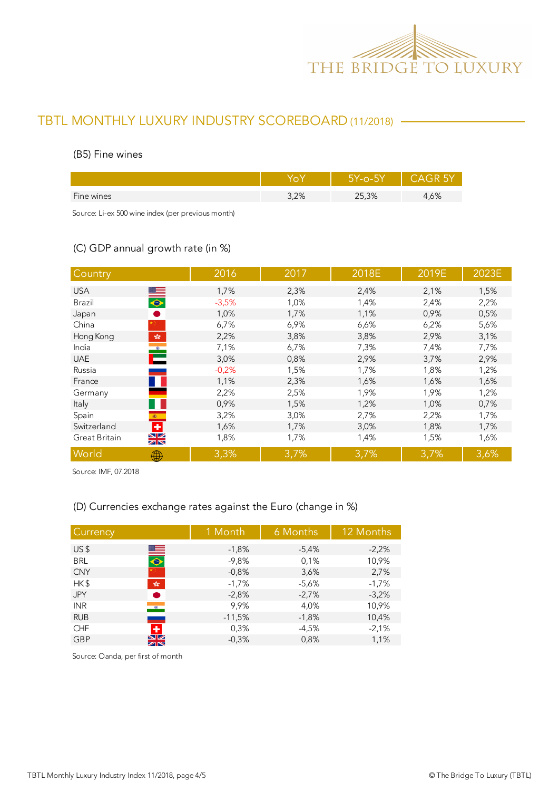

# TBTL MONTHLY LUXURY INDUSTRY SCOREBOARD (11/2018)

#### (B5) Fine wines

|            |      | 5Y-0-5Y |      |
|------------|------|---------|------|
| Fine wines | 3,2% | 25,3%   | 1,6% |
|            |      |         |      |

Source: Li-ex 500 wine index (per previous month)

### (C) GDP annual growth rate (in %)

| Country                                                                            | 2016    | 2017 | 2018E | 2019E | 2023E |
|------------------------------------------------------------------------------------|---------|------|-------|-------|-------|
| <b>USA</b>                                                                         | 1,7%    | 2,3% | 2,4%  | 2,1%  | 1,5%  |
| $\overline{\bullet}$<br>Brazil                                                     | $-3,5%$ | 1,0% | 1,4%  | 2,4%  | 2,2%  |
| Japan                                                                              | 1,0%    | 1,7% | 1,1%  | 0,9%  | 0,5%  |
| China                                                                              | 6,7%    | 6,9% | 6,6%  | 6,2%  | 5,6%  |
| Hong Kong<br>$\mathcal{P}^{\mathcal{S}^{\mathcal{S}}}_{\mathcal{S}^{\mathcal{S}}}$ | 2,2%    | 3,8% | 3,8%  | 2,9%  | 3,1%  |
| India                                                                              | 7,1%    | 6,7% | 7,3%  | 7,4%  | 7,7%  |
| <b>UAE</b>                                                                         | 3,0%    | 0,8% | 2,9%  | 3,7%  | 2,9%  |
| Russia                                                                             | $-0,2%$ | 1,5% | 1,7%  | 1,8%  | 1,2%  |
| France                                                                             | 1,1%    | 2,3% | 1,6%  | 1,6%  | 1,6%  |
| Germany                                                                            | 2,2%    | 2,5% | 1,9%  | 1,9%  | 1,2%  |
| Italy                                                                              | 0,9%    | 1,5% | 1,2%  | 1,0%  | 0,7%  |
| Spain<br>$\langle \hat{\mathbf{S}} \rangle$ .                                      | 3,2%    | 3,0% | 2,7%  | 2,2%  | 1,7%  |
| Ð<br>Switzerland                                                                   | 1,6%    | 1,7% | 3,0%  | 1,8%  | 1,7%  |
| $\frac{N}{N}$<br>Great Britain                                                     | 1,8%    | 1,7% | 1,4%  | 1,5%  | 1,6%  |
| World<br>∰                                                                         | 3,3%    | 3,7% | 3,7%  | 3,7%  | 3,6%  |

Source: IMF, 07.2018

### (D) Currencies exchange rates against the Euro (change in %)

| Currency                             | 1 Month  | 6 Months | 12 Months |
|--------------------------------------|----------|----------|-----------|
| US <sub>5</sub>                      | $-1,8%$  | $-5,4%$  | $-2,2%$   |
| $\blacksquare$<br><b>BRL</b>         | $-9,8%$  | 0,1%     | 10,9%     |
| <b>CNY</b>                           | $-0,8%$  | 3,6%     | 2,7%      |
| HK\$<br>$\frac{\sqrt{3}}{2\sqrt{3}}$ | $-1,7%$  | $-5,6%$  | $-1,7%$   |
| <b>JPY</b><br>●                      | $-2,8%$  | $-2,7%$  | $-3,2%$   |
| <b>INR</b><br>$\bullet$              | 9,9%     | 4,0%     | 10,9%     |
| <b>RUB</b><br>المستنبذ               | $-11,5%$ | $-1,8%$  | 10,4%     |
| ÷<br><b>CHF</b>                      | 0,3%     | $-4,5%$  | $-2,1%$   |
| $\frac{N}{N}$<br><b>GBP</b>          | $-0.3%$  | 0,8%     | 1,1%      |

Source: Oanda, per first of month